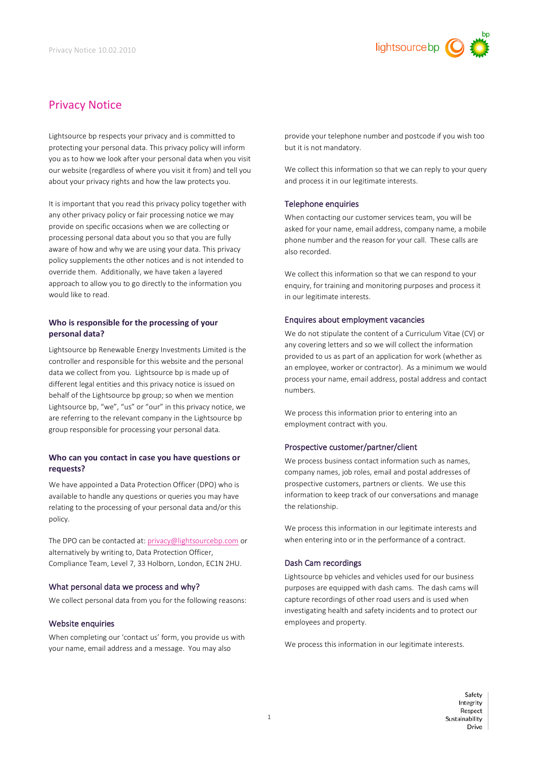

# Privacy Notice

Lightsource bp respects your privacy and is committed to protecting your personal data. This privacy policy will inform you as to how we look after your personal data when you visit our website (regardless of where you visit it from) and tell you about your privacy rights and how the law protects you.

It is important that you read this privacy policy together with any other privacy policy or fair processing notice we may provide on specific occasions when we are collecting or processing personal data about you so that you are fully aware of how and why we are using your data. This privacy policy supplements the other notices and is not intended to override them. Additionally, we have taken a layered approach to allow you to go directly to the information you would like to read.

# **Who is responsible for the processing of your personal data?**

Lightsource bp Renewable Energy Investments Limited is the controller and responsible for this website and the personal data we collect from you. Lightsource bp is made up of different legal entities and this privacy notice is issued on behalf of the Lightsource bp group; so when we mention Lightsource bp, "we", "us" or "our" in this privacy notice, we are referring to the relevant company in the Lightsource bp group responsible for processing your personal data.

# **Who can you contact in case you have questions or requests?**

We have appointed a Data Protection Officer (DPO) who is available to handle any questions or queries you may have relating to the processing of your personal data and/or this policy.

The DPO can be contacted at[: privacy@lightsourcebp.com](mailto:privacy@lightsourcebp.com) or alternatively by writing to, Data Protection Officer, Compliance Team, Level 7, 33 Holborn, London, EC1N 2HU.

# What personal data we process and why?

We collect personal data from you for the following reasons:

# Website enquiries

When completing our 'contact us' form, you provide us with your name, email address and a message. You may also

provide your telephone number and postcode if you wish too but it is not mandatory.

We collect this information so that we can reply to your query and process it in our legitimate interests.

# Telephone enquiries

When contacting our customer services team, you will be asked for your name, email address, company name, a mobile phone number and the reason for your call. These calls are also recorded.

We collect this information so that we can respond to your enquiry, for training and monitoring purposes and process it in our legitimate interests.

## Enquires about employment vacancies

We do not stipulate the content of a Curriculum Vitae (CV) or any covering letters and so we will collect the information provided to us as part of an application for work (whether as an employee, worker or contractor). As a minimum we would process your name, email address, postal address and contact numbers.

We process this information prior to entering into an employment contract with you.

# Prospective customer/partner/client

We process business contact information such as names, company names, job roles, email and postal addresses of prospective customers, partners or clients. We use this information to keep track of our conversations and manage the relationship.

We process this information in our legitimate interests and when entering into or in the performance of a contract.

# Dash Cam recordings

Lightsource bp vehicles and vehicles used for our business purposes are equipped with dash cams. The dash cams will capture recordings of other road users and is used when investigating health and safety incidents and to protect our employees and property.

We process this information in our legitimate interests.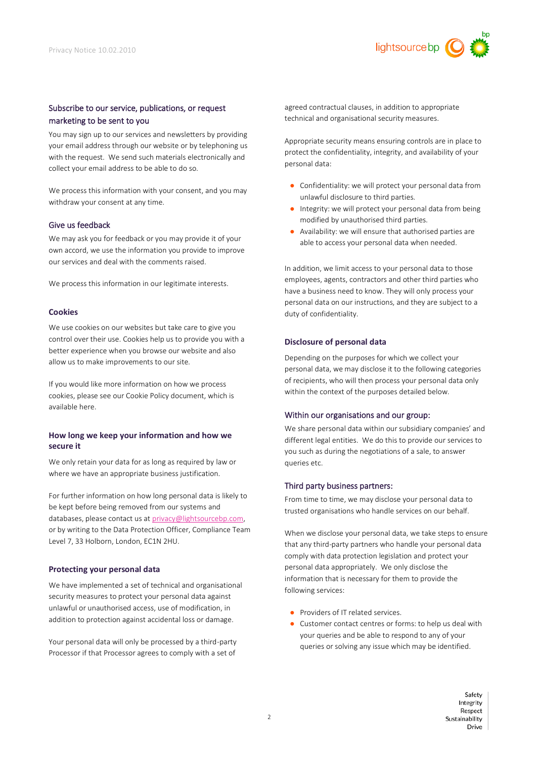

# Subscribe to our service, publications, or request marketing to be sent to you

You may sign up to our services and newsletters by providing your email address through our website or by telephoning us with the request. We send such materials electronically and collect your email address to be able to do so.

We process this information with your consent, and you may withdraw your consent at any time.

#### Give us feedback

We may ask you for feedback or you may provide it of your own accord, we use the information you provide to improve our services and deal with the comments raised.

We process this information in our legitimate interests.

## **Cookies**

We use cookies on our websites but take care to give you control over their use. Cookies help us to provide you with a better experience when you browse our website and also allow us to make improvements to our site.

If you would like more information on how we process cookies, please see our Cookie Policy document, which is available here.

## **How long we keep your information and how we secure it**

We only retain your data for as long as required by law or where we have an appropriate business justification.

For further information on how long personal data is likely to be kept before being removed from our systems and databases, please contact us a[t privacy@lightsourcebp.com,](mailto:privacy@lightsourcebp.com) or by writing to the Data Protection Officer, Compliance Team Level 7, 33 Holborn, London, EC1N 2HU.

#### **Protecting your personal data**

We have implemented a set of technical and organisational security measures to protect your personal data against unlawful or unauthorised access, use of modification, in addition to protection against accidental loss or damage.

Your personal data will only be processed by a third-party Processor if that Processor agrees to comply with a set of

agreed contractual clauses, in addition to appropriate technical and organisational security measures.

Appropriate security means ensuring controls are in place to protect the confidentiality, integrity, and availability of your personal data:

- Confidentiality: we will protect your personal data from unlawful disclosure to third parties.
- Integrity: we will protect your personal data from being modified by unauthorised third parties.
- Availability: we will ensure that authorised parties are able to access your personal data when needed.

In addition, we limit access to your personal data to those employees, agents, contractors and other third parties who have a business need to know. They will only process your personal data on our instructions, and they are subject to a duty of confidentiality.

#### **Disclosure of personal data**

Depending on the purposes for which we collect your personal data, we may disclose it to the following categories of recipients, who will then process your personal data only within the context of the purposes detailed below.

## Within our organisations and our group:

We share personal data within our subsidiary companies' and different legal entities. We do this to provide our services to you such as during the negotiations of a sale, to answer queries etc.

## Third party business partners:

From time to time, we may disclose your personal data to trusted organisations who handle services on our behalf.

When we disclose your personal data, we take steps to ensure that any third-party partners who handle your personal data comply with data protection legislation and protect your personal data appropriately. We only disclose the information that is necessary for them to provide the following services:

- Providers of IT related services.
- Customer contact centres or forms: to help us deal with your queries and be able to respond to any of your queries or solving any issue which may be identified.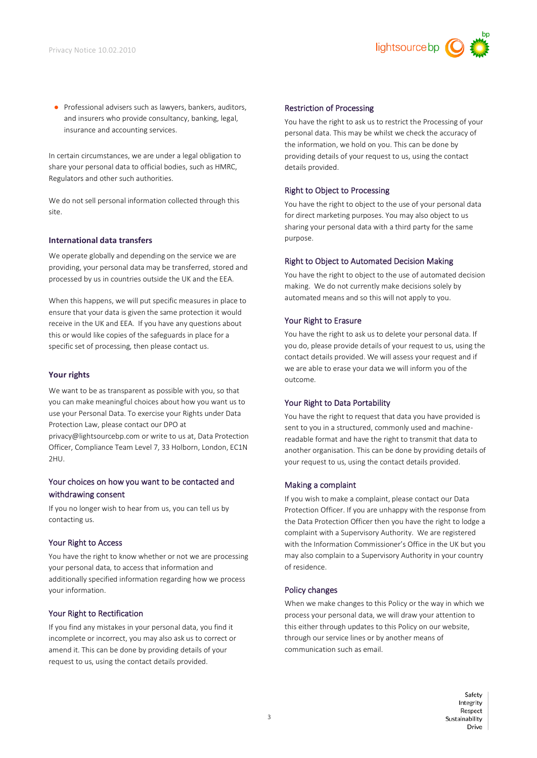

● Professional advisers such as lawyers, bankers, auditors, and insurers who provide consultancy, banking, legal, insurance and accounting services.

In certain circumstances, we are under a legal obligation to share your personal data to official bodies, such as HMRC, Regulators and other such authorities.

We do not sell personal information collected through this site.

#### **International data transfers**

We operate globally and depending on the service we are providing, your personal data may be transferred, stored and processed by us in countries outside the UK and the EEA.

When this happens, we will put specific measures in place to ensure that your data is given the same protection it would receive in the UK and EEA. If you have any questions about this or would like copies of the safeguards in place for a specific set of processing, then please contact us.

### **Your rights**

We want to be as transparent as possible with you, so that you can make meaningful choices about how you want us to use your Personal Data. To exercise your Rights under Data Protection Law, please contact our DPO at privacy@lightsourcebp.com or write to us at, Data Protection

Officer, Compliance Team Level 7, 33 Holborn, London, EC1N 2HU.

# Your choices on how you want to be contacted and withdrawing consent

If you no longer wish to hear from us, you can tell us by contacting us.

#### Your Right to Access

You have the right to know whether or not we are processing your personal data, to access that information and additionally specified information regarding how we process your information.

#### Your Right to Rectification

If you find any mistakes in your personal data, you find it incomplete or incorrect, you may also ask us to correct or amend it. This can be done by providing details of your request to us, using the contact details provided.

#### Restriction of Processing

You have the right to ask us to restrict the Processing of your personal data. This may be whilst we check the accuracy of the information, we hold on you. This can be done by providing details of your request to us, using the contact details provided.

# Right to Object to Processing

You have the right to object to the use of your personal data for direct marketing purposes. You may also object to us sharing your personal data with a third party for the same purpose.

#### Right to Object to Automated Decision Making

You have the right to object to the use of automated decision making. We do not currently make decisions solely by automated means and so this will not apply to you.

#### Your Right to Erasure

You have the right to ask us to delete your personal data. If you do, please provide details of your request to us, using the contact details provided. We will assess your request and if we are able to erase your data we will inform you of the outcome.

#### Your Right to Data Portability

You have the right to request that data you have provided is sent to you in a structured, commonly used and machinereadable format and have the right to transmit that data to another organisation. This can be done by providing details of your request to us, using the contact details provided.

#### Making a complaint

If you wish to make a complaint, please contact our Data Protection Officer. If you are unhappy with the response from the Data Protection Officer then you have the right to lodge a complaint with a Supervisory Authority. We are registered with the Information Commissioner's Office in the UK but you may also complain to a Supervisory Authority in your country of residence.

#### Policy changes

When we make changes to this Policy or the way in which we process your personal data, we will draw your attention to this either through updates to this Policy on our website, through our service lines or by another means of communication such as email.